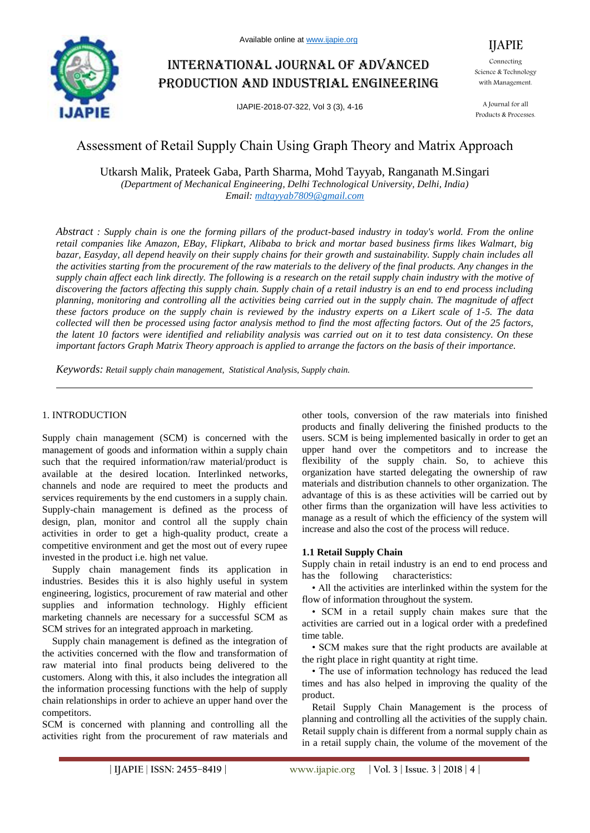

# International journal of advanced production and industrial engineering

IJAPIE-2018-07-322, Vol 3 (3), 4-16

Connecting Science & Technology with Management.

IJAPIE

A Journal for all Products & Processes.

## Assessment of Retail Supply Chain Using Graph Theory and Matrix Approach

Utkarsh Malik, Prateek Gaba, Parth Sharma, Mohd Tayyab, Ranganath M.Singari *(Department of Mechanical Engineering, Delhi Technological University, Delhi, India) Email: mdtayyab7809@gmail.com*

*Abstract : Supply chain is one the forming pillars of the product-based industry in today's world. From the online retail companies like Amazon, EBay, Flipkart, Alibaba to brick and mortar based business firms likes Walmart, big bazar, Easyday, all depend heavily on their supply chains for their growth and sustainability. Supply chain includes all the activities starting from the procurement of the raw materials to the delivery of the final products. Any changes in the supply chain affect each link directly. The following is a research on the retail supply chain industry with the motive of discovering the factors affecting this supply chain. Supply chain of a retail industry is an end to end process including planning, monitoring and controlling all the activities being carried out in the supply chain. The magnitude of affect these factors produce on the supply chain is reviewed by the industry experts on a Likert scale of 1-5. The data collected will then be processed using factor analysis method to find the most affecting factors. Out of the 25 factors, the latent 10 factors were identified and reliability analysis was carried out on it to test data consistency. On these important factors Graph Matrix Theory approach is applied to arrange the factors on the basis of their importance.*

*Keywords: Retail supply chain management, Statistical Analysis, Supply chain.*

## 1. INTRODUCTION

Supply chain management (SCM) is concerned with the management of goods and information within a supply chain such that the required information/raw material/product is available at the desired location. Interlinked networks, channels and node are required to meet the products and services requirements by the end customers in a supply chain. Supply-chain management is defined as the process of design, plan, monitor and control all the supply chain activities in order to get a high-quality product, create a competitive environment and get the most out of every rupee invested in the product i.e. high net value.

Supply chain management finds its application in industries. Besides this it is also highly useful in system engineering, logistics, procurement of raw material and other supplies and information technology. Highly efficient marketing channels are necessary for a successful SCM as SCM strives for an integrated approach in marketing.

Supply chain management is defined as the integration of the activities concerned with the flow and transformation of raw material into final products being delivered to the customers. Along with this, it also includes the integration all the information processing functions with the help of supply chain relationships in order to achieve an upper hand over the competitors.

SCM is concerned with planning and controlling all the activities right from the procurement of raw materials and other tools, conversion of the raw materials into finished products and finally delivering the finished products to the users. SCM is being implemented basically in order to get an upper hand over the competitors and to increase the flexibility of the supply chain. So, to achieve this organization have started delegating the ownership of raw materials and distribution channels to other organization. The advantage of this is as these activities will be carried out by other firms than the organization will have less activities to manage as a result of which the efficiency of the system will increase and also the cost of the process will reduce.

## **1.1 Retail Supply Chain**

Supply chain in retail industry is an end to end process and has the following characteristics:

• All the activities are interlinked within the system for the flow of information throughout the system.

• SCM in a retail supply chain makes sure that the activities are carried out in a logical order with a predefined time table.

• SCM makes sure that the right products are available at the right place in right quantity at right time.

• The use of information technology has reduced the lead times and has also helped in improving the quality of the product.

Retail Supply Chain Management is the process of planning and controlling all the activities of the supply chain. Retail supply chain is different from a normal supply chain as in a retail supply chain, the volume of the movement of the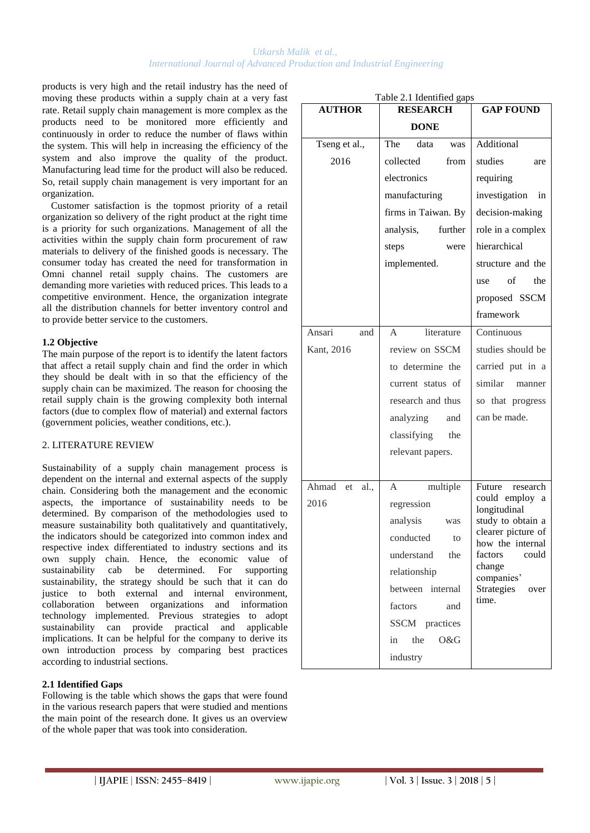products is very high and the retail industry has the need of moving these products within a supply chain at a very fast rate. Retail supply chain management is more complex as the products need to be monitored more efficiently and continuously in order to reduce the number of flaws within the system. This will help in increasing the efficiency of the system and also improve the quality of the product. Manufacturing lead time for the product will also be reduced. So, retail supply chain management is very important for an organization.

Customer satisfaction is the topmost priority of a retail organization so delivery of the right product at the right time is a priority for such organizations. Management of all the activities within the supply chain form procurement of raw materials to delivery of the finished goods is necessary. The consumer today has created the need for transformation in Omni channel retail supply chains. The customers are demanding more varieties with reduced prices. This leads to a competitive environment. Hence, the organization integrate all the distribution channels for better inventory control and to provide better service to the customers.

## **1.2 Objective**

The main purpose of the report is to identify the latent factors that affect a retail supply chain and find the order in which they should be dealt with in so that the efficiency of the supply chain can be maximized. The reason for choosing the retail supply chain is the growing complexity both internal factors (due to complex flow of material) and external factors (government policies, weather conditions, etc.).

## 2. LITERATURE REVIEW

Sustainability of a supply chain management process is dependent on the internal and external aspects of the supply chain. Considering both the management and the economic aspects, the importance of sustainability needs to be determined. By comparison of the methodologies used to measure sustainability both qualitatively and quantitatively, the indicators should be categorized into common index and respective index differentiated to industry sections and its own supply chain. Hence, the economic value of sustainability cab be determined. For supporting sustainability, the strategy should be such that it can do justice to both external and internal environment, collaboration between organizations and information technology implemented. Previous strategies to adopt sustainability can provide practical and applicable implications. It can be helpful for the company to derive its own introduction process by comparing best practices according to industrial sections.

## **2.1 Identified Gaps**

Following is the table which shows the gaps that were found in the various research papers that were studied and mentions the main point of the research done. It gives us an overview of the whole paper that was took into consideration.

| Table 2.1 Identified gaps |                            |                                        |  |  |  |  |  |  |  |
|---------------------------|----------------------------|----------------------------------------|--|--|--|--|--|--|--|
| <b>AUTHOR</b>             | <b>RESEARCH</b>            | <b>GAP FOUND</b>                       |  |  |  |  |  |  |  |
|                           | <b>DONE</b>                |                                        |  |  |  |  |  |  |  |
| Tseng et al.,             | The<br>data<br>was         | Additional                             |  |  |  |  |  |  |  |
| 2016                      | collected<br>from          | studies<br>are                         |  |  |  |  |  |  |  |
|                           | electronics                | requiring                              |  |  |  |  |  |  |  |
|                           | manufacturing              | investigation<br>in                    |  |  |  |  |  |  |  |
|                           | firms in Taiwan. By        | decision-making                        |  |  |  |  |  |  |  |
|                           | further<br>analysis,       | role in a complex                      |  |  |  |  |  |  |  |
|                           | steps<br>were              | hierarchical                           |  |  |  |  |  |  |  |
|                           | implemented.               | structure and the                      |  |  |  |  |  |  |  |
|                           |                            | of<br>the<br>use                       |  |  |  |  |  |  |  |
|                           |                            | proposed SSCM                          |  |  |  |  |  |  |  |
|                           |                            | framework                              |  |  |  |  |  |  |  |
| Ansari<br>and             | literature<br>$\mathsf{A}$ | Continuous                             |  |  |  |  |  |  |  |
| Kant, 2016                | review on SSCM             | studies should be                      |  |  |  |  |  |  |  |
|                           | to determine the           | carried put in a                       |  |  |  |  |  |  |  |
|                           | current status of          | similar manner                         |  |  |  |  |  |  |  |
|                           | research and thus          | so that progress                       |  |  |  |  |  |  |  |
|                           | analyzing<br>and           | can be made.                           |  |  |  |  |  |  |  |
|                           | classifying<br>the         |                                        |  |  |  |  |  |  |  |
|                           | relevant papers.           |                                        |  |  |  |  |  |  |  |
|                           |                            |                                        |  |  |  |  |  |  |  |
| Ahmad<br>et<br>al.,       | multiple<br>A              | Future<br>research                     |  |  |  |  |  |  |  |
| 2016                      | regression                 | could employ a<br>longitudinal         |  |  |  |  |  |  |  |
|                           | analysis<br>was            | study to obtain a                      |  |  |  |  |  |  |  |
|                           | conducted<br>to            | clearer picture of<br>how the internal |  |  |  |  |  |  |  |
|                           | understand<br>the          | factors<br>could                       |  |  |  |  |  |  |  |
|                           | relationship               | change<br>companies'                   |  |  |  |  |  |  |  |
|                           | between internal           | Strategies<br>over<br>time.            |  |  |  |  |  |  |  |
|                           | factors<br>and             |                                        |  |  |  |  |  |  |  |
|                           | SSCM practices             |                                        |  |  |  |  |  |  |  |
|                           | the<br>O&G<br>in           |                                        |  |  |  |  |  |  |  |
|                           | industry                   |                                        |  |  |  |  |  |  |  |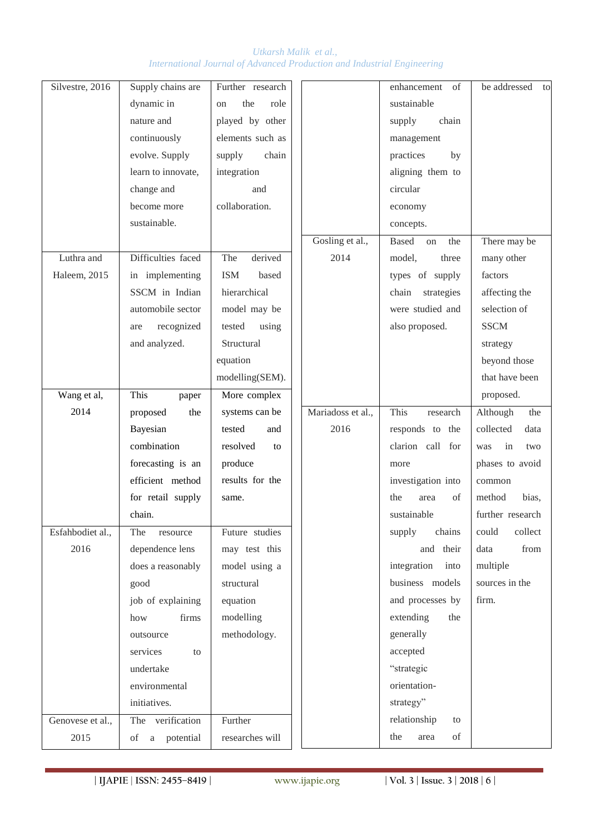| Silvestre, 2016  | Supply chains are  | Further research  |                   | enhancement of      | be addressed to   |  |
|------------------|--------------------|-------------------|-------------------|---------------------|-------------------|--|
|                  | dynamic in         | the<br>role<br>on |                   | sustainable         |                   |  |
|                  | nature and         | played by other   |                   | chain<br>supply     |                   |  |
|                  | continuously       | elements such as  |                   | management          |                   |  |
|                  | evolve. Supply     | chain<br>supply   |                   | by<br>practices     |                   |  |
|                  | learn to innovate, | integration       |                   | aligning them to    |                   |  |
|                  | change and         | and               |                   | circular            |                   |  |
|                  | become more        | collaboration.    |                   | economy             |                   |  |
|                  | sustainable.       |                   |                   | concepts.           |                   |  |
|                  |                    |                   | Gosling et al.,   | Based on the        | There may be      |  |
| Luthra and       | Difficulties faced | The<br>derived    | 2014              | model,<br>three     | many other        |  |
| Haleem, 2015     | in implementing    | ISM<br>based      |                   | types of supply     | factors           |  |
|                  | SSCM in Indian     | hierarchical      |                   | strategies<br>chain | affecting the     |  |
|                  | automobile sector  | model may be      |                   | were studied and    | selection of      |  |
|                  | recognized<br>are  | tested<br>using   |                   | also proposed.      | <b>SSCM</b>       |  |
|                  | and analyzed.      | Structural        |                   |                     | strategy          |  |
|                  |                    | equation          |                   |                     | beyond those      |  |
|                  |                    | modelling(SEM).   |                   |                     | that have been    |  |
| Wang et al,      | This<br>paper      | More complex      |                   |                     | proposed.         |  |
| 2014             | proposed<br>the    | systems can be    | Mariadoss et al., | This<br>research    | Although<br>the   |  |
|                  | Bayesian           | tested<br>and     | 2016              | responds to the     | data<br>collected |  |
|                  | combination        | resolved<br>to    |                   | clarion call for    | in<br>was<br>two  |  |
|                  | forecasting is an  | produce           |                   | more                | phases to avoid   |  |
|                  | efficient method   | results for the   |                   | investigation into  | common            |  |
|                  | for retail supply  | same.             |                   | of<br>the<br>area   | bias,<br>method   |  |
|                  | chain.             |                   |                   | sustainable         | further research  |  |
| Esfahbodiet al., | The<br>resource    | Future studies    |                   | chains<br>supply    | collect<br>could  |  |
| 2016             | dependence lens    | may test this     |                   | and their           | data<br>from      |  |
|                  | does a reasonably  | model using a     |                   | integration into    | multiple          |  |
|                  | good               | structural        |                   | business models     | sources in the    |  |
|                  | job of explaining  | equation          |                   | and processes by    | firm.             |  |
|                  | firms<br>how       | modelling         |                   | extending<br>the    |                   |  |
|                  | outsource          | methodology.      |                   | generally           |                   |  |
|                  | services<br>to     |                   |                   | accepted            |                   |  |
|                  | undertake          |                   |                   | "strategic          |                   |  |
|                  | environmental      |                   |                   | orientation-        |                   |  |
|                  | initiatives.       |                   |                   | strategy"           |                   |  |
| Genovese et al., | The verification   | Further           |                   | relationship<br>to  |                   |  |
| 2015             | of a potential     | researches will   |                   | area<br>of<br>the   |                   |  |
|                  |                    |                   |                   |                     |                   |  |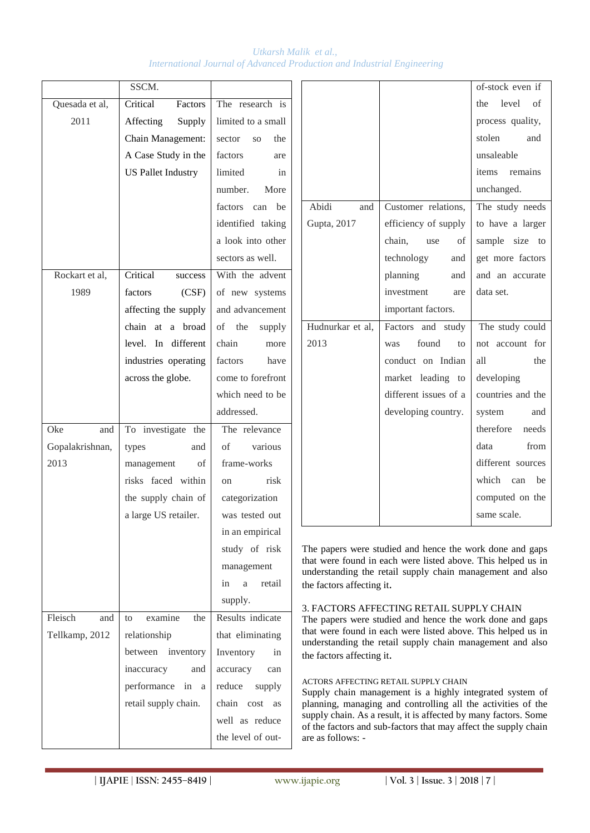|                 | SSCM.                     |                                  |                                                                                      |                                                                                                                           | of-stock even if   |  |  |
|-----------------|---------------------------|----------------------------------|--------------------------------------------------------------------------------------|---------------------------------------------------------------------------------------------------------------------------|--------------------|--|--|
| Quesada et al,  | Critical<br>Factors       | The research is                  |                                                                                      |                                                                                                                           | level<br>the<br>of |  |  |
| 2011            | Affecting<br>Supply       | limited to a small               |                                                                                      |                                                                                                                           | process quality,   |  |  |
|                 | Chain Management:         | sector<br>SO <sub>1</sub><br>the |                                                                                      |                                                                                                                           | stolen<br>and      |  |  |
|                 | A Case Study in the       | factors<br>are                   |                                                                                      |                                                                                                                           | unsaleable         |  |  |
|                 | <b>US Pallet Industry</b> | limited<br>in                    |                                                                                      |                                                                                                                           | items<br>remains   |  |  |
|                 |                           | number.<br>More                  |                                                                                      |                                                                                                                           | unchanged.         |  |  |
|                 |                           | factors can be                   | Abidi<br>and                                                                         | Customer relations,                                                                                                       | The study needs    |  |  |
|                 |                           | identified taking                | Gupta, 2017                                                                          | efficiency of supply                                                                                                      | to have a larger   |  |  |
|                 |                           | a look into other                |                                                                                      | chain,<br>use<br>οf                                                                                                       | sample size to     |  |  |
|                 |                           | sectors as well.                 |                                                                                      | technology<br>and                                                                                                         | get more factors   |  |  |
| Rockart et al,  | Critical<br>success       | With the advent                  |                                                                                      | planning<br>and                                                                                                           | and an accurate    |  |  |
| 1989            | factors<br>(CSF)          | of new systems                   |                                                                                      | investment<br>are                                                                                                         | data set.          |  |  |
|                 | affecting the supply      | and advancement                  |                                                                                      | important factors.                                                                                                        |                    |  |  |
|                 | chain at a broad          | of<br>the<br>supply              | Hudnurkar et al,                                                                     | Factors and study                                                                                                         | The study could    |  |  |
|                 | level. In different       | chain<br>more                    | 2013                                                                                 | found<br>to<br>was                                                                                                        | not account for    |  |  |
|                 | industries operating      | factors<br>have                  |                                                                                      | conduct on Indian                                                                                                         | all<br>the         |  |  |
|                 | across the globe.         | come to forefront                |                                                                                      | market leading to                                                                                                         | developing         |  |  |
|                 |                           | which need to be                 |                                                                                      | different issues of a                                                                                                     | countries and the  |  |  |
|                 |                           | addressed.                       |                                                                                      | developing country.                                                                                                       | system<br>and      |  |  |
| Oke<br>and      | To investigate the        | The relevance                    |                                                                                      |                                                                                                                           | therefore<br>needs |  |  |
| Gopalakrishnan, | types<br>and              | of<br>various                    |                                                                                      |                                                                                                                           | data<br>from       |  |  |
| 2013            | management<br>of          | frame-works                      |                                                                                      |                                                                                                                           | different sources  |  |  |
|                 | risks faced within        | risk<br>on                       |                                                                                      |                                                                                                                           | which<br>can<br>be |  |  |
|                 | the supply chain of       | categorization                   |                                                                                      |                                                                                                                           | computed on the    |  |  |
|                 | a large US retailer.      | was tested out                   |                                                                                      |                                                                                                                           | same scale.        |  |  |
|                 |                           | in an empirical                  |                                                                                      |                                                                                                                           |                    |  |  |
|                 |                           | study of risk                    |                                                                                      | The papers were studied and hence the work done and gaps                                                                  |                    |  |  |
|                 |                           | management                       |                                                                                      | that were found in each were listed above. This helped us in<br>understanding the retail supply chain management and also |                    |  |  |
|                 |                           | retail<br>$\mathbf{a}$<br>in     | the factors affecting it.                                                            |                                                                                                                           |                    |  |  |
|                 |                           | supply.                          |                                                                                      | 3. FACTORS AFFECTING RETAIL SUPPLY CHAIN                                                                                  |                    |  |  |
| Fleisch<br>and  | examine<br>the<br>to      | Results indicate                 |                                                                                      | The papers were studied and hence the work done and gaps                                                                  |                    |  |  |
| Tellkamp, 2012  | relationship              | that eliminating                 |                                                                                      | that were found in each were listed above. This helped us in<br>understanding the retail supply chain management and also |                    |  |  |
|                 | between inventory         | Inventory<br>in                  | the factors affecting it.                                                            |                                                                                                                           |                    |  |  |
|                 | inaccuracy<br>and         | accuracy<br>can                  |                                                                                      |                                                                                                                           |                    |  |  |
|                 | performance in a          | reduce<br>supply                 |                                                                                      | ACTORS AFFECTING RETAIL SUPPLY CHAIN<br>Supply chain management is a highly integrated system of                          |                    |  |  |
|                 | retail supply chain.      | chain cost as                    |                                                                                      | planning, managing and controlling all the activities of the                                                              |                    |  |  |
|                 |                           | well as reduce                   |                                                                                      | supply chain. As a result, it is affected by many factors. Some                                                           |                    |  |  |
|                 |                           | the level of out-                | of the factors and sub-factors that may affect the supply chain<br>are as follows: - |                                                                                                                           |                    |  |  |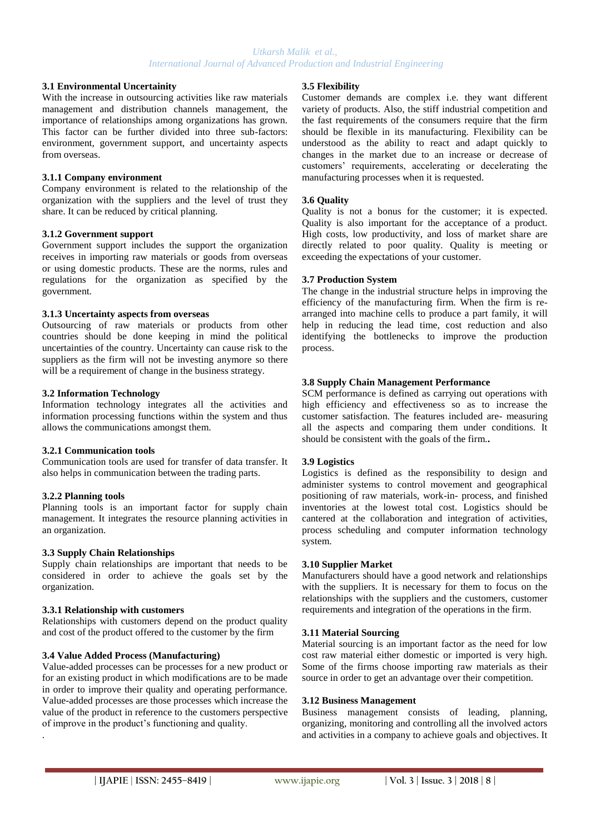#### **3.1 Environmental Uncertainity**

With the increase in outsourcing activities like raw materials management and distribution channels management, the importance of relationships among organizations has grown. This factor can be further divided into three sub-factors: environment, government support, and uncertainty aspects from overseas.

#### **3.1.1 Company environment**

Company environment is related to the relationship of the organization with the suppliers and the level of trust they share. It can be reduced by critical planning.

#### **3.1.2 Government support**

Government support includes the support the organization receives in importing raw materials or goods from overseas or using domestic products. These are the norms, rules and regulations for the organization as specified by the government.

#### **3.1.3 Uncertainty aspects from overseas**

Outsourcing of raw materials or products from other countries should be done keeping in mind the political uncertainties of the country. Uncertainty can cause risk to the suppliers as the firm will not be investing anymore so there will be a requirement of change in the business strategy.

#### **3.2 Information Technology**

Information technology integrates all the activities and information processing functions within the system and thus allows the communications amongst them.

#### **3.2.1 Communication tools**

Communication tools are used for transfer of data transfer. It also helps in communication between the trading parts.

## **3.2.2 Planning tools**

Planning tools is an important factor for supply chain management. It integrates the resource planning activities in an organization.

#### **3.3 Supply Chain Relationships**

Supply chain relationships are important that needs to be considered in order to achieve the goals set by the organization.

## **3.3.1 Relationship with customers**

Relationships with customers depend on the product quality and cost of the product offered to the customer by the firm

## **3.4 Value Added Process (Manufacturing)**

Value-added processes can be processes for a new product or for an existing product in which modifications are to be made in order to improve their quality and operating performance. Value-added processes are those processes which increase the value of the product in reference to the customers perspective of improve in the product"s functioning and quality. .

#### **3.5 Flexibility**

Customer demands are complex i.e. they want different variety of products. Also, the stiff industrial competition and the fast requirements of the consumers require that the firm should be flexible in its manufacturing. Flexibility can be understood as the ability to react and adapt quickly to changes in the market due to an increase or decrease of customers" requirements, accelerating or decelerating the manufacturing processes when it is requested.

## **3.6 Quality**

Quality is not a bonus for the customer; it is expected. Quality is also important for the acceptance of a product. High costs, low productivity, and loss of market share are directly related to poor quality. Quality is meeting or exceeding the expectations of your customer.

#### **3.7 Production System**

The change in the industrial structure helps in improving the efficiency of the manufacturing firm. When the firm is rearranged into machine cells to produce a part family, it will help in reducing the lead time, cost reduction and also identifying the bottlenecks to improve the production process.

## **3.8 Supply Chain Management Performance**

SCM performance is defined as carrying out operations with high efficiency and effectiveness so as to increase the customer satisfaction. The features included are- measuring all the aspects and comparing them under conditions. It should be consistent with the goals of the firm.**.**

## **3.9 Logistics**

Logistics is defined as the responsibility to design and administer systems to control movement and geographical positioning of raw materials, work-in- process, and finished inventories at the lowest total cost. Logistics should be cantered at the collaboration and integration of activities, process scheduling and computer information technology system.

#### **3.10 Supplier Market**

Manufacturers should have a good network and relationships with the suppliers. It is necessary for them to focus on the relationships with the suppliers and the customers, customer requirements and integration of the operations in the firm.

## **3.11 Material Sourcing**

Material sourcing is an important factor as the need for low cost raw material either domestic or imported is very high. Some of the firms choose importing raw materials as their source in order to get an advantage over their competition.

#### **3.12 Business Management**

Business management consists of leading, planning, organizing, monitoring and controlling all the involved actors and activities in a company to achieve goals and objectives. It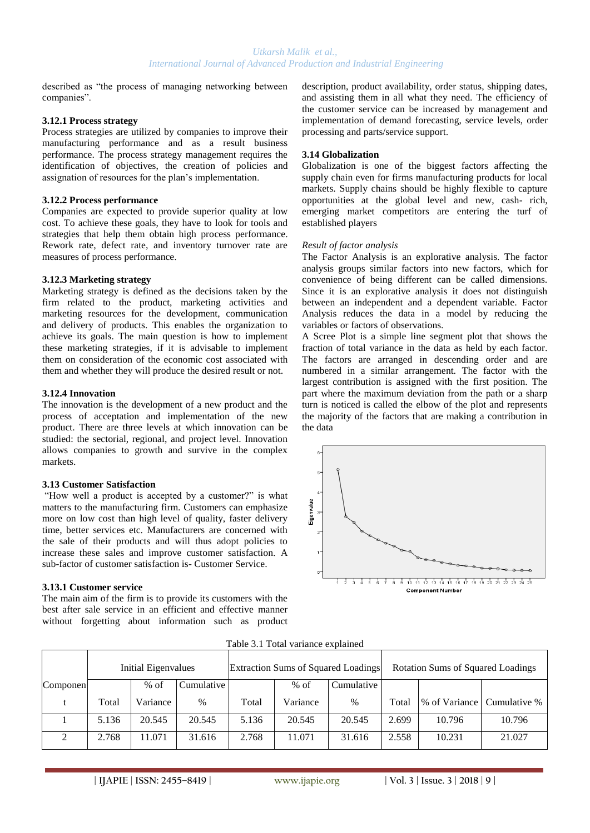described as "the process of managing networking between companies".

#### **3.12.1 Process strategy**

Process strategies are utilized by companies to improve their manufacturing performance and as a result business performance. The process strategy management requires the identification of objectives, the creation of policies and assignation of resources for the plan"s implementation.

## **3.12.2 Process performance**

Companies are expected to provide superior quality at low cost. To achieve these goals, they have to look for tools and strategies that help them obtain high process performance. Rework rate, defect rate, and inventory turnover rate are measures of process performance.

## **3.12.3 Marketing strategy**

Marketing strategy is defined as the decisions taken by the firm related to the product, marketing activities and marketing resources for the development, communication and delivery of products. This enables the organization to achieve its goals. The main question is how to implement these marketing strategies, if it is advisable to implement them on consideration of the economic cost associated with them and whether they will produce the desired result or not.

#### **3.12.4 Innovation**

The innovation is the development of a new product and the process of acceptation and implementation of the new product. There are three levels at which innovation can be studied: the sectorial, regional, and project level. Innovation allows companies to growth and survive in the complex markets.

#### **3.13 Customer Satisfaction**

"How well a product is accepted by a customer?" is what matters to the manufacturing firm. Customers can emphasize more on low cost than high level of quality, faster delivery time, better services etc. Manufacturers are concerned with the sale of their products and will thus adopt policies to increase these sales and improve customer satisfaction. A sub-factor of customer satisfaction is- Customer Service.

## **3.13.1 Customer service**

The main aim of the firm is to provide its customers with the best after sale service in an efficient and effective manner without forgetting about information such as product description, product availability, order status, shipping dates, and assisting them in all what they need. The efficiency of the customer service can be increased by management and implementation of demand forecasting, service levels, order processing and parts/service support.

#### **3.14 Globalization**

Globalization is one of the biggest factors affecting the supply chain even for firms manufacturing products for local markets. Supply chains should be highly flexible to capture opportunities at the global level and new, cash- rich, emerging market competitors are entering the turf of established players

#### *Result of factor analysis*

The Factor Analysis is an explorative analysis. The factor analysis groups similar factors into new factors, which for convenience of being different can be called dimensions. Since it is an explorative analysis it does not distinguish between an independent and a dependent variable. Factor Analysis reduces the data in a model by reducing the variables or factors of observations.

A Scree Plot is a simple line segment plot that shows the fraction of total variance in the data as held by each factor. The factors are arranged in descending order and are numbered in a similar arrangement. The factor with the largest contribution is assigned with the first position. The part where the maximum deviation from the path or a sharp turn is noticed is called the elbow of the plot and represents the majority of the factors that are making a contribution in the data



Table 3.1 Total variance explained

|          | <b>Initial Eigenvalues</b> |          |            |       |          | Extraction Sums of Squared Loadings | <b>Rotation Sums of Squared Loadings</b> |                              |        |  |
|----------|----------------------------|----------|------------|-------|----------|-------------------------------------|------------------------------------------|------------------------------|--------|--|
| Componen |                            | $%$ of   | Cumulative |       | $%$ of   | Cumulative                          |                                          |                              |        |  |
|          | Total                      | Variance | $\%$       | Total | Variance | $\%$                                | Total                                    | \% of Variance Cumulative \% |        |  |
|          | 5.136                      | 20.545   | 20.545     | 5.136 | 20.545   | 20.545                              | 2.699                                    | 10.796                       | 10.796 |  |
| 2        | 2.768                      | 11.071   | 31.616     | 2.768 | 11.071   | 31.616                              | 2.558                                    | 10.231                       | 21.027 |  |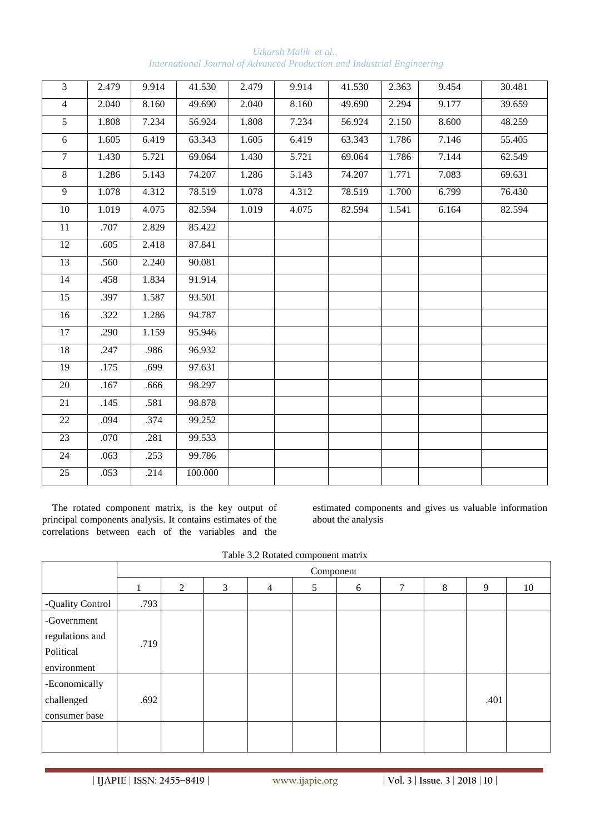| $\overline{3}$  | 2.479 | 9.914 | 41.530  | 2.479 | 9.914 | 41.530 | 2.363 | 9.454 | 30.481 |
|-----------------|-------|-------|---------|-------|-------|--------|-------|-------|--------|
| $\overline{4}$  | 2.040 | 8.160 | 49.690  | 2.040 | 8.160 | 49.690 | 2.294 | 9.177 | 39.659 |
| $5\overline{)}$ | 1.808 | 7.234 | 56.924  | 1.808 | 7.234 | 56.924 | 2.150 | 8.600 | 48.259 |
| $6\,$           | 1.605 | 6.419 | 63.343  | 1.605 | 6.419 | 63.343 | 1.786 | 7.146 | 55.405 |
| $\overline{7}$  | 1.430 | 5.721 | 69.064  | 1.430 | 5.721 | 69.064 | 1.786 | 7.144 | 62.549 |
| $\overline{8}$  | 1.286 | 5.143 | 74.207  | 1.286 | 5.143 | 74.207 | 1.771 | 7.083 | 69.631 |
| 9               | 1.078 | 4.312 | 78.519  | 1.078 | 4.312 | 78.519 | 1.700 | 6.799 | 76.430 |
| 10              | 1.019 | 4.075 | 82.594  | 1.019 | 4.075 | 82.594 | 1.541 | 6.164 | 82.594 |
| $\overline{11}$ | .707  | 2.829 | 85.422  |       |       |        |       |       |        |
| 12              | .605  | 2.418 | 87.841  |       |       |        |       |       |        |
| $\overline{13}$ | .560  | 2.240 | 90.081  |       |       |        |       |       |        |
| 14              | .458  | 1.834 | 91.914  |       |       |        |       |       |        |
| 15              | .397  | 1.587 | 93.501  |       |       |        |       |       |        |
| 16              | .322  | 1.286 | 94.787  |       |       |        |       |       |        |
| $17\,$          | .290  | 1.159 | 95.946  |       |       |        |       |       |        |
| $18\,$          | .247  | .986  | 96.932  |       |       |        |       |       |        |
| 19              | .175  | .699  | 97.631  |       |       |        |       |       |        |
| $20\,$          | .167  | .666  | 98.297  |       |       |        |       |       |        |
| 21              | .145  | .581  | 98.878  |       |       |        |       |       |        |
| $\overline{22}$ | .094  | .374  | 99.252  |       |       |        |       |       |        |
| 23              | .070  | .281  | 99.533  |       |       |        |       |       |        |
| 24              | .063  | .253  | 99.786  |       |       |        |       |       |        |
| $\overline{25}$ | .053  | .214  | 100.000 |       |       |        |       |       |        |

*Utkarsh Malik et al., International Journal of Advanced Production and Industrial Engineering*

The rotated component matrix, is the key output of principal components analysis. It contains estimates of the correlations between each of the variables and the

estimated components and gives us valuable information about the analysis

| Table 3.2 Rotated component matrix |
|------------------------------------|
|                                    |

|                                                            | Component |   |   |                |   |   |   |   |      |    |
|------------------------------------------------------------|-----------|---|---|----------------|---|---|---|---|------|----|
|                                                            |           | 2 | 3 | $\overline{4}$ | 5 | 6 | π | 8 | 9    | 10 |
| -Quality Control                                           | .793      |   |   |                |   |   |   |   |      |    |
| -Government<br>regulations and<br>Political<br>environment | .719      |   |   |                |   |   |   |   |      |    |
| -Economically<br>challenged<br>consumer base               | .692      |   |   |                |   |   |   |   | .401 |    |
|                                                            |           |   |   |                |   |   |   |   |      |    |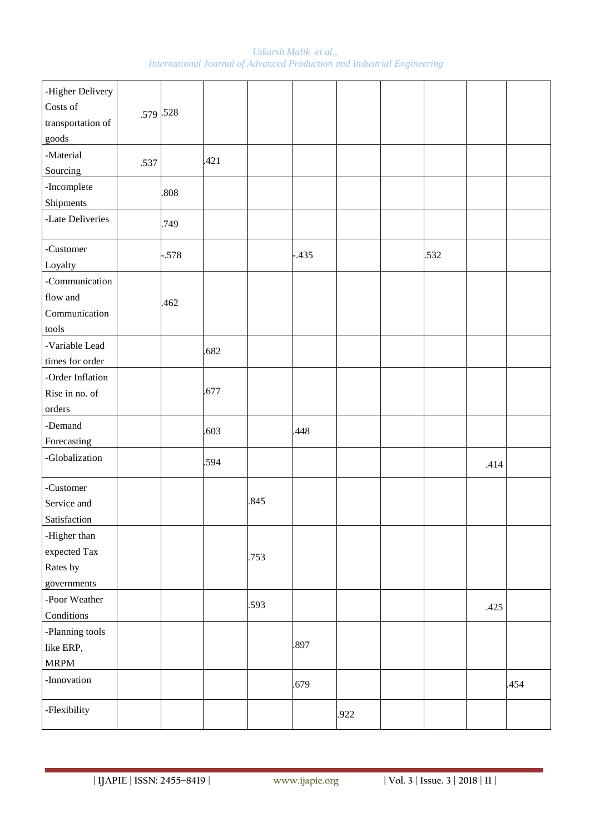*Utkarsh Malik et al., International Journal of Advanced Production and Industrial Engineering*

| -Higher Delivery<br>Costs of<br>transportation of<br>goods | .579.528 |        |      |      |         |      |      |      |      |
|------------------------------------------------------------|----------|--------|------|------|---------|------|------|------|------|
| -Material<br>Sourcing                                      | .537     |        | .421 |      |         |      |      |      |      |
| -Incomplete<br>Shipments                                   |          | .808   |      |      |         |      |      |      |      |
| -Late Deliveries                                           |          | .749   |      |      |         |      |      |      |      |
| -Customer<br>Loyalty                                       |          | $-578$ |      |      | $-.435$ |      | .532 |      |      |
| -Communication<br>flow and<br>Communication<br>tools       |          | .462   |      |      |         |      |      |      |      |
| -Variable Lead<br>times for order                          |          |        | .682 |      |         |      |      |      |      |
| -Order Inflation<br>Rise in no. of<br>orders               |          |        | .677 |      |         |      |      |      |      |
| -Demand<br>Forecasting                                     |          |        | .603 |      | .448    |      |      |      |      |
| -Globalization                                             |          |        | .594 |      |         |      |      | .414 |      |
| -Customer<br>Service and<br>Satisfaction                   |          |        |      | .845 |         |      |      |      |      |
| -Higher than<br>expected Tax<br>Rates by<br>governments    |          |        |      | .753 |         |      |      |      |      |
| -Poor Weather<br>Conditions                                |          |        |      | .593 |         |      |      | .425 |      |
| -Planning tools<br>like ERP,<br><b>MRPM</b>                |          |        |      |      | .897    |      |      |      |      |
| -Innovation                                                |          |        |      |      | .679    |      |      |      | .454 |
| -Flexibility                                               |          |        |      |      |         | .922 |      |      |      |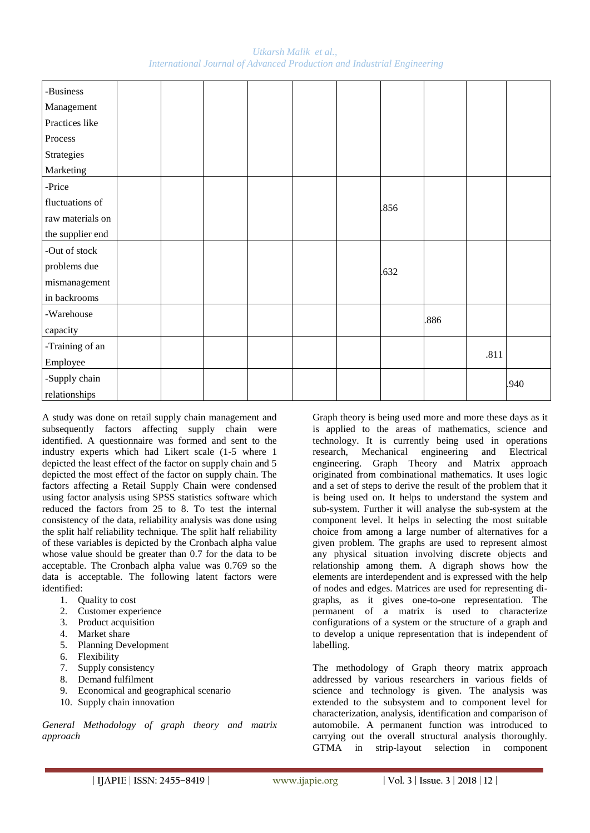*Utkarsh Malik et al., International Journal of Advanced Production and Industrial Engineering*

| -Business        |  |  |  |      |      |      |      |
|------------------|--|--|--|------|------|------|------|
| Management       |  |  |  |      |      |      |      |
| Practices like   |  |  |  |      |      |      |      |
| Process          |  |  |  |      |      |      |      |
| Strategies       |  |  |  |      |      |      |      |
| Marketing        |  |  |  |      |      |      |      |
| -Price           |  |  |  |      |      |      |      |
| fluctuations of  |  |  |  | .856 |      |      |      |
| raw materials on |  |  |  |      |      |      |      |
| the supplier end |  |  |  |      |      |      |      |
| -Out of stock    |  |  |  |      |      |      |      |
| problems due     |  |  |  | .632 |      |      |      |
| mismanagement    |  |  |  |      |      |      |      |
| in backrooms     |  |  |  |      |      |      |      |
| -Warehouse       |  |  |  |      | .886 |      |      |
| capacity         |  |  |  |      |      |      |      |
| -Training of an  |  |  |  |      |      |      |      |
| Employee         |  |  |  |      |      | .811 |      |
| -Supply chain    |  |  |  |      |      |      | .940 |
| relationships    |  |  |  |      |      |      |      |

A study was done on retail supply chain management and subsequently factors affecting supply chain were identified. A questionnaire was formed and sent to the industry experts which had Likert scale (1-5 where 1 depicted the least effect of the factor on supply chain and 5 depicted the most effect of the factor on supply chain. The factors affecting a Retail Supply Chain were condensed using factor analysis using SPSS statistics software which reduced the factors from 25 to 8. To test the internal consistency of the data, reliability analysis was done using the split half reliability technique. The split half reliability of these variables is depicted by the Cronbach alpha value whose value should be greater than 0.7 for the data to be acceptable. The Cronbach alpha value was 0.769 so the data is acceptable. The following latent factors were identified:

- 1. Quality to cost
- 2. Customer experience
- 3. Product acquisition
- 4. Market share
- 5. Planning Development
- 
- 6. Flexibility<br>7. Supply cor Supply consistency
- 8. Demand fulfilment
- 9. Economical and geographical scenario
- 10. Supply chain innovation

*General Methodology of graph theory and matrix approach*

Graph theory is being used more and more these days as it is applied to the areas of mathematics, science and technology. It is currently being used in operations research, Mechanical engineering and Electrical engineering. Graph Theory and Matrix approach originated from combinational mathematics. It uses logic and a set of steps to derive the result of the problem that it is being used on. It helps to understand the system and sub-system. Further it will analyse the sub-system at the component level. It helps in selecting the most suitable choice from among a large number of alternatives for a given problem. The graphs are used to represent almost any physical situation involving discrete objects and relationship among them. A digraph shows how the elements are interdependent and is expressed with the help of nodes and edges. Matrices are used for representing digraphs, as it gives one-to-one representation. The permanent of a matrix is used to characterize configurations of a system or the structure of a graph and to develop a unique representation that is independent of labelling.

The methodology of Graph theory matrix approach addressed by various researchers in various fields of science and technology is given. The analysis was extended to the subsystem and to component level for characterization, analysis, identification and comparison of automobile. A permanent function was introduced to carrying out the overall structural analysis thoroughly. GTMA in strip-layout selection in component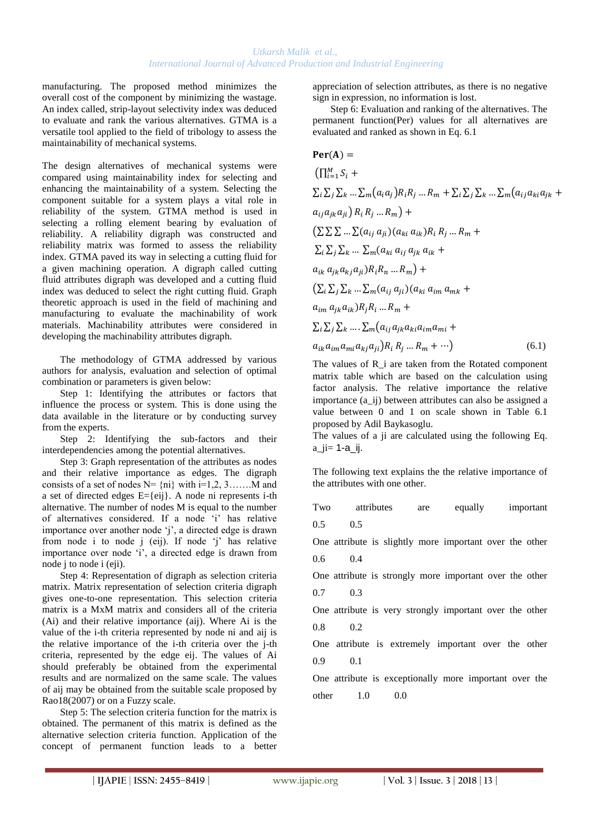manufacturing. The proposed method minimizes the overall cost of the component by minimizing the wastage. An index called, strip-layout selectivity index was deduced to evaluate and rank the various alternatives. GTMA is a versatile tool applied to the field of tribology to assess the maintainability of mechanical systems.

The design alternatives of mechanical systems were compared using maintainability index for selecting and enhancing the maintainability of a system. Selecting the component suitable for a system plays a vital role in reliability of the system. GTMA method is used in selecting a rolling element bearing by evaluation of reliability. A reliability digraph was constructed and reliability matrix was formed to assess the reliability index. GTMA paved its way in selecting a cutting fluid for a given machining operation. A digraph called cutting fluid attributes digraph was developed and a cutting fluid index was deduced to select the right cutting fluid. Graph theoretic approach is used in the field of machining and manufacturing to evaluate the machinability of work materials. Machinability attributes were considered in developing the machinability attributes digraph.

The methodology of GTMA addressed by various authors for analysis, evaluation and selection of optimal combination or parameters is given below:

Step 1: Identifying the attributes or factors that influence the process or system. This is done using the data available in the literature or by conducting survey from the experts.

Step 2: Identifying the sub-factors and their interdependencies among the potential alternatives.

Step 3: Graph representation of the attributes as nodes and their relative importance as edges. The digraph consists of a set of nodes  $N = \{ni\}$  with  $i=1,2,3,......$  M and a set of directed edges E={eij}. A node ni represents i-th alternative. The number of nodes M is equal to the number of alternatives considered. If a node "i" has relative importance over another node 'j', a directed edge is drawn from node i to node j (eij). If node "j" has relative importance over node 'i', a directed edge is drawn from node j to node i (eji).

Step 4: Representation of digraph as selection criteria matrix. Matrix representation of selection criteria digraph gives one-to-one representation. This selection criteria matrix is a MxM matrix and considers all of the criteria (Ai) and their relative importance (aij). Where Ai is the value of the i-th criteria represented by node ni and aij is the relative importance of the i-th criteria over the j-th criteria, represented by the edge eij. The values of Ai should preferably be obtained from the experimental results and are normalized on the same scale. The values of aij may be obtained from the suitable scale proposed by Rao18(2007) or on a Fuzzy scale.

Step 5: The selection criteria function for the matrix is obtained. The permanent of this matrix is defined as the alternative selection criteria function. Application of the concept of permanent function leads to a better

appreciation of selection attributes, as there is no negative sign in expression, no information is lost.

Step 6: Evaluation and ranking of the alternatives. The permanent function(Per) values for all alternatives are evaluated and ranked as shown in Eq. 6.1

 ( ) (∏ ∑ ∑ ∑ ∑ ( ) ∑ ∑ ∑ ∑ ( ) ) (∑ ∑ ∑ ∑( )( ) ∑ ∑ ∑ ∑ ( ) ) (∑ ∑ ∑ ∑ ( )( ) ∑ ∑ ∑ ∑ (

 $a_{ik}a_{im}a_{mi}a_{kj}a_{ji}$  } $R_i R_j ... R_m + \cdots$  } (6.1)

The values of R i are taken from the Rotated component matrix table which are based on the calculation using factor analysis. The relative importance the relative importance (a\_ij) between attributes can also be assigned a value between 0 and 1 on scale shown in Table 6.1 proposed by Adil Baykasoglu.

The values of a ji are calculated using the following Eq.  $a$ \_ji=  $1-a$ \_ij.

The following text explains the the relative importance of the attributes with one other.

| Two attributes are equally important                    |  |  |
|---------------------------------------------------------|--|--|
| $0.5$ 0.5                                               |  |  |
| One attribute is slightly more important over the other |  |  |
| $0.6$ 0.4                                               |  |  |
| One attribute is strongly more important over the other |  |  |
| $0.7 \qquad 0.3$                                        |  |  |
| One attribute is very strongly important over the other |  |  |
| $0.8 \t 0.2$                                            |  |  |
| One attribute is extremely important over the other     |  |  |
| $0.9 \qquad 0.1$                                        |  |  |
| One attribute is exceptionally more important over the  |  |  |
| $other$ 1.0<br>0.0                                      |  |  |
|                                                         |  |  |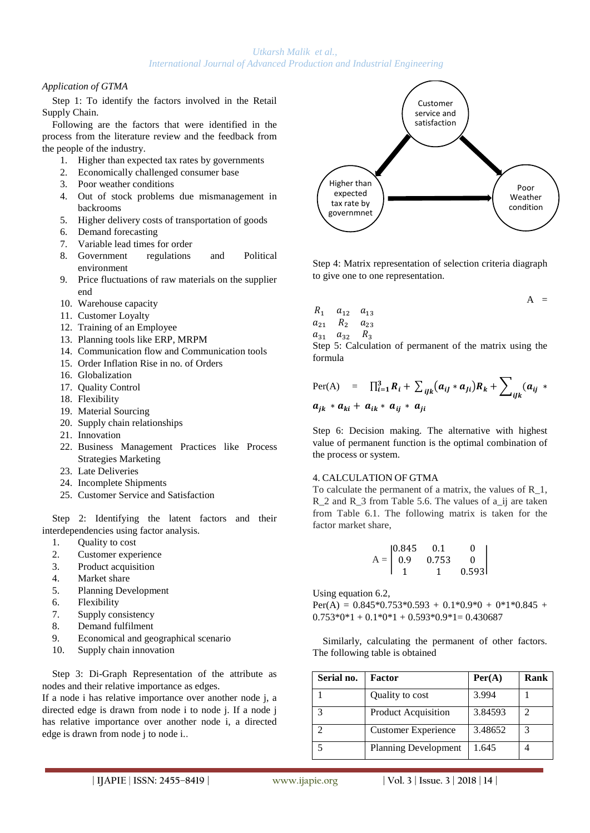## *Application of GTMA*

Step 1: To identify the factors involved in the Retail Supply Chain.

Following are the factors that were identified in the process from the literature review and the feedback from the people of the industry.

- 1. Higher than expected tax rates by governments
- 2. Economically challenged consumer base
- 3. Poor weather conditions
- 4. Out of stock problems due mismanagement in backrooms
- 5. Higher delivery costs of transportation of goods
- 6. Demand forecasting
- 7. Variable lead times for order
- 8. Government regulations and Political environment
- 9. Price fluctuations of raw materials on the supplier end
- 10. Warehouse capacity
- 11. Customer Loyalty
- 12. Training of an Employee
- 13. Planning tools like ERP, MRPM
- 14. Communication flow and Communication tools
- 15. Order Inflation Rise in no. of Orders
- 16. Globalization
- 17. Quality Control
- 18. Flexibility
- 19. Material Sourcing
- 20. Supply chain relationships
- 21. Innovation
- 22. Business Management Practices like Process Strategies Marketing
- 23. Late Deliveries
- 24. Incomplete Shipments
- 25. Customer Service and Satisfaction

Step 2: Identifying the latent factors and their interdependencies using factor analysis.

- 1. Quality to cost
- 2. Customer experience
- 3. Product acquisition
- 4. Market share
- 5. Planning Development
- 6. Flexibility
- 7. Supply consistency
- 8. Demand fulfilment
- 9. Economical and geographical scenario
- 10. Supply chain innovation

Step 3: Di-Graph Representation of the attribute as nodes and their relative importance as edges.

If a node i has relative importance over another node j, a directed edge is drawn from node i to node j. If a node j has relative importance over another node i, a directed edge is drawn from node j to node i..



Step 4: Matrix representation of selection criteria diagraph to give one to one representation.

$$
A =
$$

$$
\begin{array}{ccccc}\nR_1 & a_{12} & a_{13} \\
a_{21} & R_2 & a_{23}\n\end{array}
$$

 $a_{31}$   $a_{32}$   $R_3$ 

Step 5: Calculation of permanent of the matrix using the formula

$$
\begin{array}{rcl}\n\text{Per(A)} & = & \prod_{i=1}^3 R_i + \sum_{ijk} (a_{ij} \cdot a_{ji}) R_k + \sum_{ijk} (a_{ij} \cdot a_{jk}) R_k + \sum_{ijk} (a_{ij} \cdot a_{ijk}) R_k\n\end{array}
$$

Step 6: Decision making. The alternative with highest value of permanent function is the optimal combination of the process or system.

## 4. CALCULATION OF GTMA

To calculate the permanent of a matrix, the values of R\_1, R 2 and R 3 from Table 5.6. The values of a ij are taken from Table 6.1. The following matrix is taken for the factor market share,

$$
A = \begin{bmatrix} 0.845 & 0.1 & 0 \\ 0.9 & 0.753 & 0 \\ 1 & 1 & 0.593 \end{bmatrix}
$$

Using equation 6.2,

 $Per(A) = 0.845*0.753*0.593 + 0.1*0.9*0 + 0*1*0.845 +$  $0.753*0*1 + 0.1*0*1 + 0.593*0.9*1 = 0.430687$ 

Similarly, calculating the permanent of other factors. The following table is obtained

| Serial no.   | Factor                      | Per(A)  | Rank                        |
|--------------|-----------------------------|---------|-----------------------------|
|              | Quality to cost             | 3.994   |                             |
| $\mathbf{z}$ | <b>Product Acquisition</b>  | 3.84593 | $\mathcal{D}_{\mathcal{A}}$ |
|              | <b>Customer Experience</b>  | 3.48652 | 3                           |
|              | <b>Planning Development</b> | 1.645   |                             |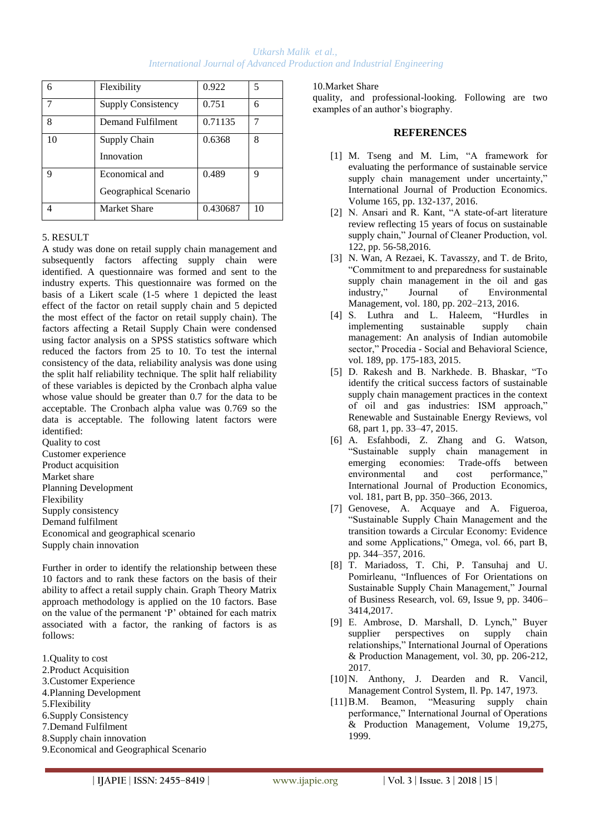| 6  | Flexibility                             | 0.922    | 5  |
|----|-----------------------------------------|----------|----|
|    | <b>Supply Consistency</b>               | 0.751    | 6  |
| 8  | Demand Fulfilment                       | 0.71135  |    |
| 10 | Supply Chain<br>Innovation              | 0.6368   | 8  |
| q  | Economical and<br>Geographical Scenario | 0.489    | q  |
|    | Market Share                            | 0.430687 | 10 |

## 5. RESULT

A study was done on retail supply chain management and subsequently factors affecting supply chain were identified. A questionnaire was formed and sent to the industry experts. This questionnaire was formed on the basis of a Likert scale (1-5 where 1 depicted the least effect of the factor on retail supply chain and 5 depicted the most effect of the factor on retail supply chain). The factors affecting a Retail Supply Chain were condensed using factor analysis on a SPSS statistics software which reduced the factors from 25 to 10. To test the internal consistency of the data, reliability analysis was done using the split half reliability technique. The split half reliability of these variables is depicted by the Cronbach alpha value whose value should be greater than 0.7 for the data to be acceptable. The Cronbach alpha value was 0.769 so the data is acceptable. The following latent factors were identified:

Quality to cost Customer experience Product acquisition Market share Planning Development Flexibility Supply consistency Demand fulfilment Economical and geographical scenario Supply chain innovation

Further in order to identify the relationship between these 10 factors and to rank these factors on the basis of their ability to affect a retail supply chain. Graph Theory Matrix approach methodology is applied on the 10 factors. Base on the value of the permanent "P" obtained for each matrix associated with a factor, the ranking of factors is as follows:

1.Quality to cost 2.Product Acquisition 3.Customer Experience 4.Planning Development 5.Flexibility 6.Supply Consistency 7.Demand Fulfilment 8.Supply chain innovation 9.Economical and Geographical Scenario

#### 10.Market Share

quality, and professional-looking. Following are two examples of an author's biography.

#### **REFERENCES**

- [1] M. Tseng and M. Lim, "A framework for evaluating the performance of sustainable service supply chain management under uncertainty," International Journal of Production Economics. Volume 165, pp. 132-137, 2016.
- [2] N. Ansari and R. Kant, "A state-of-art literature review reflecting 15 years of focus on sustainable supply chain," Journal of Cleaner Production, vol. 122, pp. 56-58,2016.
- [3] N. Wan, A Rezaei, K. Tavasszy, and T. de Brito, "Commitment to and preparedness for sustainable supply chain management in the oil and gas industry," Journal of Environmental Management, vol. 180, pp. 202–213, 2016.
- [4] S. Luthra and L. Haleem, "Hurdles in implementing sustainable supply chain management: An analysis of Indian automobile sector," Procedia - Social and Behavioral Science, vol. 189, pp. 175-183, 2015.
- [5] D. Rakesh and B. Narkhede. B. Bhaskar, "To identify the critical success factors of sustainable supply chain management practices in the context of oil and gas industries: ISM approach," Renewable and Sustainable Energy Reviews, vol 68, part 1, pp. 33–47, 2015.
- [6] A. Esfahbodi, Z. Zhang and G. Watson, "Sustainable supply chain management in emerging economies: Trade-offs between environmental and cost performance," International Journal of Production Economics, vol. 181, part B, pp. 350–366, 2013.
- [7] Genovese, A. Acquaye and A. Figueroa, "Sustainable Supply Chain Management and the transition towards a Circular Economy: Evidence and some Applications," Omega, vol. 66, part B, pp. 344–357, 2016.
- [8] T. Mariadoss, T. Chi, P. Tansuhaj and U. Pomirleanu, "Influences of For Orientations on Sustainable Supply Chain Management," Journal of Business Research, vol. 69, Issue 9, pp. 3406– 3414,2017.
- [9] E. Ambrose, D. Marshall, D. Lynch," Buyer supplier perspectives on supply chain relationships," International Journal of Operations & Production Management, vol. 30, pp. 206-212, 2017.
- [10]N. Anthony, J. Dearden and R. Vancil, Management Control System, Il. Pp. 147, 1973.
- [11]B.M. Beamon, "Measuring supply chain performance," International Journal of Operations & Production Management, Volume 19,275, 1999.